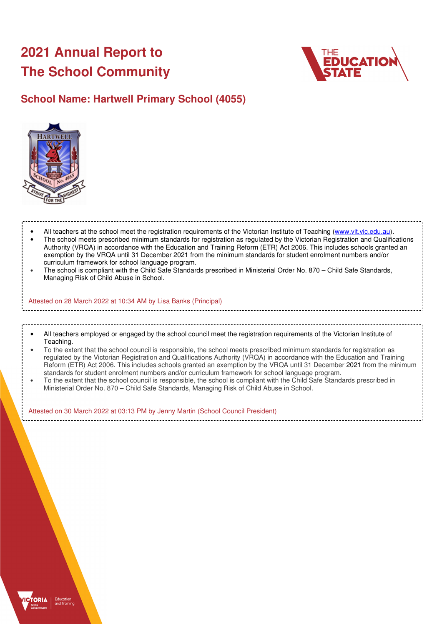# **2021 Annual Report to The School Community**



# **School Name: Hartwell Primary School (4055)**



- All teachers at the school meet the registration requirements of the Victorian Institute of Teaching (www.vit.vic.edu.au). • The school meets prescribed minimum standards for registration as regulated by the Victorian Registration and Qualifications Authority (VRQA) in accordance with the Education and Training Reform (ETR) Act 2006. This includes schools granted an exemption by the VRQA until 31 December 2021 from the minimum standards for student enrolment numbers and/or curriculum framework for school language program.
- The school is compliant with the Child Safe Standards prescribed in Ministerial Order No. 870 Child Safe Standards, Managing Risk of Child Abuse in School.

#### Attested on 28 March 2022 at 10:34 AM by Lisa Banks (Principal)

- All teachers employed or engaged by the school council meet the registration requirements of the Victorian Institute of Teaching.
- To the extent that the school council is responsible, the school meets prescribed minimum standards for registration as regulated by the Victorian Registration and Qualifications Authority (VRQA) in accordance with the Education and Training Reform (ETR) Act 2006. This includes schools granted an exemption by the VRQA until 31 December 2021 from the minimum standards for student enrolment numbers and/or curriculum framework for school language program.
- To the extent that the school council is responsible, the school is compliant with the Child Safe Standards prescribed in Ministerial Order No. 870 – Child Safe Standards, Managing Risk of Child Abuse in School.

Attested on 30 March 2022 at 03:13 PM by Jenny Martin (School Council President)

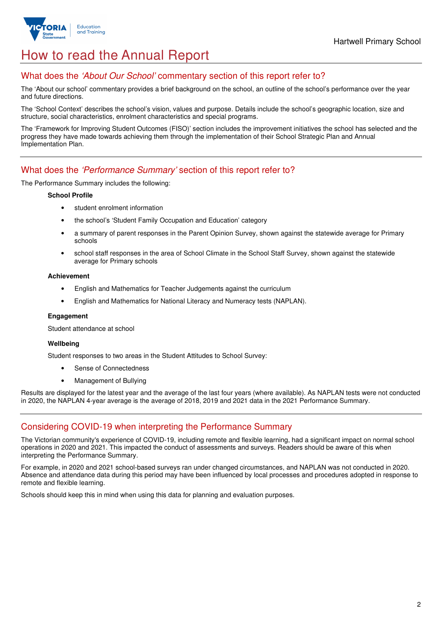

# How to read the Annual Report

## What does the 'About Our School' commentary section of this report refer to?

The 'About our school' commentary provides a brief background on the school, an outline of the school's performance over the year and future directions.

The 'School Context' describes the school's vision, values and purpose. Details include the school's geographic location, size and structure, social characteristics, enrolment characteristics and special programs.

The 'Framework for Improving Student Outcomes (FISO)' section includes the improvement initiatives the school has selected and the progress they have made towards achieving them through the implementation of their School Strategic Plan and Annual Implementation Plan.

### What does the 'Performance Summary' section of this report refer to?

The Performance Summary includes the following:

#### **School Profile**

- student enrolment information
- the school's 'Student Family Occupation and Education' category
- a summary of parent responses in the Parent Opinion Survey, shown against the statewide average for Primary schools
- school staff responses in the area of School Climate in the School Staff Survey, shown against the statewide average for Primary schools

#### **Achievement**

- English and Mathematics for Teacher Judgements against the curriculum
- English and Mathematics for National Literacy and Numeracy tests (NAPLAN).

#### **Engagement**

Student attendance at school

#### **Wellbeing**

Student responses to two areas in the Student Attitudes to School Survey:

- Sense of Connectedness
- Management of Bullying

Results are displayed for the latest year and the average of the last four years (where available). As NAPLAN tests were not conducted in 2020, the NAPLAN 4-year average is the average of 2018, 2019 and 2021 data in the 2021 Performance Summary.

## Considering COVID-19 when interpreting the Performance Summary

The Victorian community's experience of COVID-19, including remote and flexible learning, had a significant impact on normal school operations in 2020 and 2021. This impacted the conduct of assessments and surveys. Readers should be aware of this when interpreting the Performance Summary.

For example, in 2020 and 2021 school-based surveys ran under changed circumstances, and NAPLAN was not conducted in 2020. Absence and attendance data during this period may have been influenced by local processes and procedures adopted in response to remote and flexible learning.

Schools should keep this in mind when using this data for planning and evaluation purposes.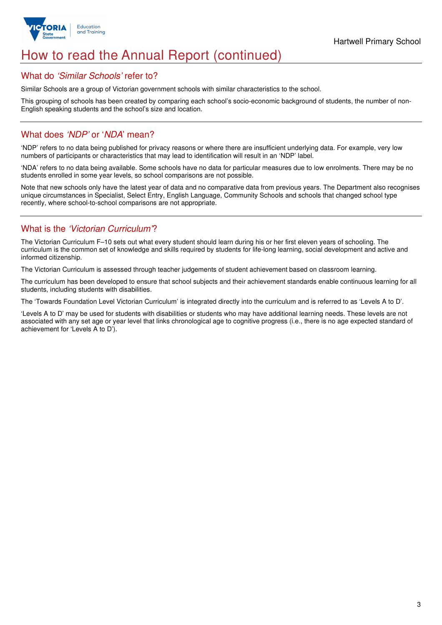

# How to read the Annual Report (continued)

### What do 'Similar Schools' refer to?

Similar Schools are a group of Victorian government schools with similar characteristics to the school.

This grouping of schools has been created by comparing each school's socio-economic background of students, the number of non-English speaking students and the school's size and location.

## What does 'NDP' or 'NDA' mean?

'NDP' refers to no data being published for privacy reasons or where there are insufficient underlying data. For example, very low numbers of participants or characteristics that may lead to identification will result in an 'NDP' label.

'NDA' refers to no data being available. Some schools have no data for particular measures due to low enrolments. There may be no students enrolled in some year levels, so school comparisons are not possible.

Note that new schools only have the latest year of data and no comparative data from previous years. The Department also recognises unique circumstances in Specialist, Select Entry, English Language, Community Schools and schools that changed school type recently, where school-to-school comparisons are not appropriate.

# What is the 'Victorian Curriculum'?

The Victorian Curriculum F–10 sets out what every student should learn during his or her first eleven years of schooling. The curriculum is the common set of knowledge and skills required by students for life-long learning, social development and active and informed citizenship.

The Victorian Curriculum is assessed through teacher judgements of student achievement based on classroom learning.

The curriculum has been developed to ensure that school subjects and their achievement standards enable continuous learning for all students, including students with disabilities.

The 'Towards Foundation Level Victorian Curriculum' is integrated directly into the curriculum and is referred to as 'Levels A to D'.

'Levels A to D' may be used for students with disabilities or students who may have additional learning needs. These levels are not associated with any set age or year level that links chronological age to cognitive progress (i.e., there is no age expected standard of achievement for 'Levels A to D').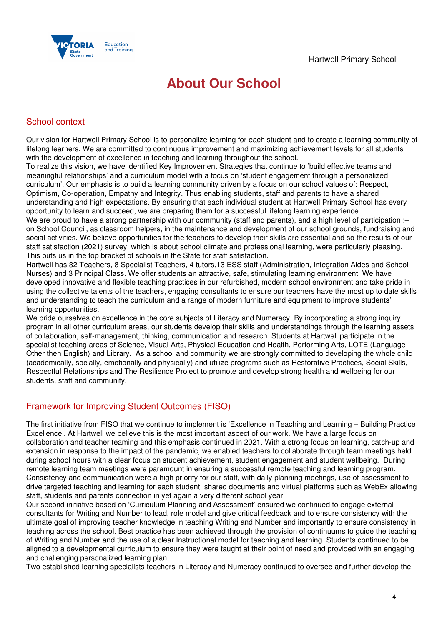

# **About Our School**

## School context

Our vision for Hartwell Primary School is to personalize learning for each student and to create a learning community of lifelong learners. We are committed to continuous improvement and maximizing achievement levels for all students with the development of excellence in teaching and learning throughout the school.

To realize this vision, we have identified Key Improvement Strategies that continue to 'build effective teams and meaningful relationships' and a curriculum model with a focus on 'student engagement through a personalized curriculum'. Our emphasis is to build a learning community driven by a focus on our school values of: Respect, Optimism, Co-operation, Empathy and Integrity. Thus enabling students, staff and parents to have a shared understanding and high expectations. By ensuring that each individual student at Hartwell Primary School has every opportunity to learn and succeed, we are preparing them for a successful lifelong learning experience.

We are proud to have a strong partnership with our community (staff and parents), and a high level of participation :on School Council, as classroom helpers, in the maintenance and development of our school grounds, fundraising and social activities. We believe opportunities for the teachers to develop their skills are essential and so the results of our staff satisfaction (2021) survey, which is about school climate and professional learning, were particularly pleasing. This puts us in the top bracket of schools in the State for staff satisfaction.

Hartwell has 32 Teachers, 8 Specialist Teachers, 4 tutors,13 ESS staff (Administration, Integration Aides and School Nurses) and 3 Principal Class. We offer students an attractive, safe, stimulating learning environment. We have developed innovative and flexible teaching practices in our refurbished, modern school environment and take pride in using the collective talents of the teachers, engaging consultants to ensure our teachers have the most up to date skills and understanding to teach the curriculum and a range of modern furniture and equipment to improve students' learning opportunities.

We pride ourselves on excellence in the core subjects of Literacy and Numeracy. By incorporating a strong inquiry program in all other curriculum areas, our students develop their skills and understandings through the learning assets of collaboration, self-management, thinking, communication and research. Students at Hartwell participate in the specialist teaching areas of Science, Visual Arts, Physical Education and Health, Performing Arts, LOTE (Language Other then English) and Library. As a school and community we are strongly committed to developing the whole child (academically, socially, emotionally and physically) and utilize programs such as Restorative Practices, Social Skills, Respectful Relationships and The Resilience Project to promote and develop strong health and wellbeing for our students, staff and community.

# Framework for Improving Student Outcomes (FISO)

The first initiative from FISO that we continue to implement is 'Excellence in Teaching and Learning – Building Practice Excellence'. At Hartwell we believe this is the most important aspect of our work. We have a large focus on collaboration and teacher teaming and this emphasis continued in 2021. With a strong focus on learning, catch-up and extension in response to the impact of the pandemic, we enabled teachers to collaborate through team meetings held during school hours with a clear focus on student achievement, student engagement and student wellbeing. During remote learning team meetings were paramount in ensuring a successful remote teaching and learning program. Consistency and communication were a high priority for our staff, with daily planning meetings, use of assessment to drive targeted teaching and learning for each student, shared documents and virtual platforms such as WebEx allowing staff, students and parents connection in yet again a very different school year.

Our second initiative based on 'Curriculum Planning and Assessment' ensured we continued to engage external consultants for Writing and Number to lead, role model and give critical feedback and to ensure consistency with the ultimate goal of improving teacher knowledge in teaching Writing and Number and importantly to ensure consistency in teaching across the school. Best practice has been achieved through the provision of continuums to guide the teaching of Writing and Number and the use of a clear Instructional model for teaching and learning. Students continued to be aligned to a developmental curriculum to ensure they were taught at their point of need and provided with an engaging and challenging personalized learning plan.

Two established learning specialists teachers in Literacy and Numeracy continued to oversee and further develop the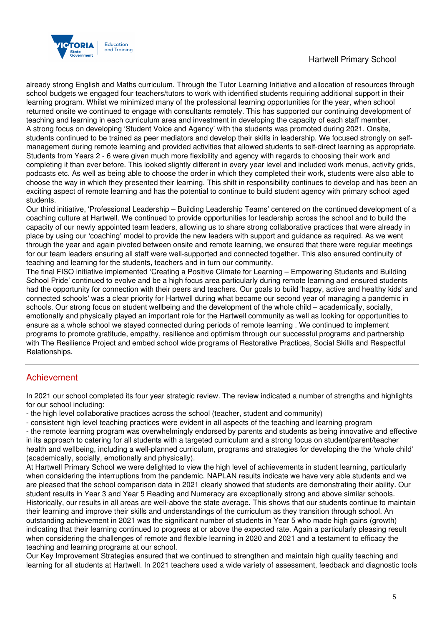# Hartwell Primary School



already strong English and Maths curriculum. Through the Tutor Learning Initiative and allocation of resources through school budgets we engaged four teachers/tutors to work with identified students requiring additional support in their learning program. Whilst we minimized many of the professional learning opportunities for the year, when school returned onsite we continued to engage with consultants remotely. This has supported our continuing development of teaching and learning in each curriculum area and investment in developing the capacity of each staff member. A strong focus on developing 'Student Voice and Agency' with the students was promoted during 2021. Onsite, students continued to be trained as peer mediators and develop their skills in leadership. We focused strongly on selfmanagement during remote learning and provided activities that allowed students to self-direct learning as appropriate. Students from Years 2 - 6 were given much more flexibility and agency with regards to choosing their work and completing it than ever before. This looked slightly different in every year level and included work menus, activity grids, podcasts etc. As well as being able to choose the order in which they completed their work, students were also able to choose the way in which they presented their learning. This shift in responsibility continues to develop and has been an exciting aspect of remote learning and has the potential to continue to build student agency with primary school aged students.

Our third initiative, 'Professional Leadership – Building Leadership Teams' centered on the continued development of a coaching culture at Hartwell. We continued to provide opportunities for leadership across the school and to build the capacity of our newly appointed team leaders, allowing us to share strong collaborative practices that were already in place by using our 'coaching' model to provide the new leaders with support and guidance as required. As we went through the year and again pivoted between onsite and remote learning, we ensured that there were regular meetings for our team leaders ensuring all staff were well-supported and connected together. This also ensured continuity of teaching and learning for the students, teachers and in turn our community.

The final FISO initiative implemented 'Creating a Positive Climate for Learning – Empowering Students and Building School Pride' continued to evolve and be a high focus area particularly during remote learning and ensured students had the opportunity for connection with their peers and teachers. Our goals to build 'happy, active and healthy kids' and connected schools' was a clear priority for Hartwell during what became our second year of managing a pandemic in schools. Our strong focus on student wellbeing and the development of the whole child – academically, socially, emotionally and physically played an important role for the Hartwell community as well as looking for opportunities to ensure as a whole school we stayed connected during periods of remote learning . We continued to implement programs to promote gratitude, empathy, resilience and optimism through our successful programs and partnership with The Resilience Project and embed school wide programs of Restorative Practices, Social Skills and Respectful Relationships.

# Achievement

In 2021 our school completed its four year strategic review. The review indicated a number of strengths and highlights for our school including:

- the high level collaborative practices across the school (teacher, student and community)

- consistent high level teaching practices were evident in all aspects of the teaching and learning program

- the remote learning program was overwhelmingly endorsed by parents and students as being innovative and effective in its approach to catering for all students with a targeted curriculum and a strong focus on student/parent/teacher health and wellbeing, including a well-planned curriculum, programs and strategies for developing the the 'whole child' (academically, socially, emotionally and physically).

At Hartwell Primary School we were delighted to view the high level of achievements in student learning, particularly when considering the interruptions from the pandemic. NAPLAN results indicate we have very able students and we are pleased that the school comparison data in 2021 clearly showed that students are demonstrating their ability. Our student results in Year 3 and Year 5 Reading and Numeracy are exceptionally strong and above similar schools. Historically, our results in all areas are well-above the state average. This shows that our students continue to maintain their learning and improve their skills and understandings of the curriculum as they transition through school. An outstanding achievement in 2021 was the significant number of students in Year 5 who made high gains (growth) indicating that their learning continued to progress at or above the expected rate. Again a particularly pleasing result when considering the challenges of remote and flexible learning in 2020 and 2021 and a testament to efficacy the teaching and learning programs at our school.

Our Key Improvement Strategies ensured that we continued to strengthen and maintain high quality teaching and learning for all students at Hartwell. In 2021 teachers used a wide variety of assessment, feedback and diagnostic tools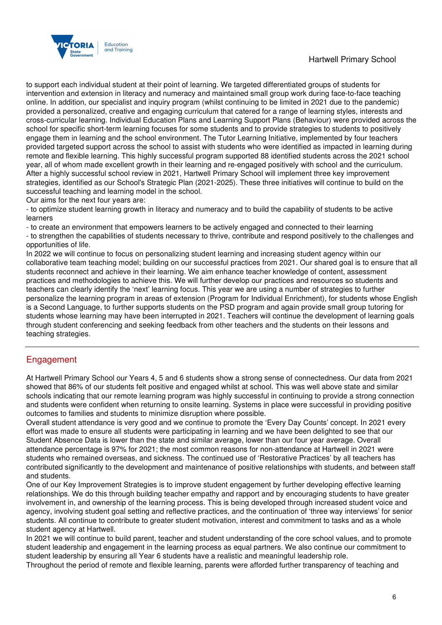# Hartwell Primary School



to support each individual student at their point of learning. We targeted differentiated groups of students for intervention and extension in literacy and numeracy and maintained small group work during face-to-face teaching online. In addition, our specialist and inquiry program (whilst continuing to be limited in 2021 due to the pandemic) provided a personalized, creative and engaging curriculum that catered for a range of learning styles, interests and cross-curricular learning. Individual Education Plans and Learning Support Plans (Behaviour) were provided across the school for specific short-term learning focuses for some students and to provide strategies to students to positively engage them in learning and the school environment. The Tutor Learning Initiative, implemented by four teachers provided targeted support across the school to assist with students who were identified as impacted in learning during remote and flexible learning. This highly successful program supported 88 identified students across the 2021 school year, all of whom made excellent growth in their learning and re-engaged positively with school and the curriculum. After a highly successful school review in 2021, Hartwell Primary School will implement three key improvement strategies, identified as our School's Strategic Plan (2021-2025). These three initiatives will continue to build on the successful teaching and learning model in the school.

Our aims for the next four years are:

- to optimize student learning growth in literacy and numeracy and to build the capability of students to be active learners

- to create an environment that empowers learners to be actively engaged and connected to their learning

- to strengthen the capabilities of students necessary to thrive, contribute and respond positively to the challenges and opportunities of life.

In 2022 we will continue to focus on personalizing student learning and increasing student agency within our collaborative team teaching model; building on our successful practices from 2021. Our shared goal is to ensure that all students reconnect and achieve in their learning. We aim enhance teacher knowledge of content, assessment practices and methodologies to achieve this. We will further develop our practices and resources so students and teachers can clearly identify the 'next' learning focus. This year we are using a number of strategies to further personalize the learning program in areas of extension (Program for Individual Enrichment), for students whose English is a Second Language, to further supports students on the PSD program and again provide small group tutoring for students whose learning may have been interrupted in 2021. Teachers will continue the development of learning goals through student conferencing and seeking feedback from other teachers and the students on their lessons and teaching strategies.

# Engagement

At Hartwell Primary School our Years 4, 5 and 6 students show a strong sense of connectedness. Our data from 2021 showed that 86% of our students felt positive and engaged whilst at school. This was well above state and similar schools indicating that our remote learning program was highly successful in continuing to provide a strong connection and students were confident when returning to onsite learning. Systems in place were successful in providing positive outcomes to families and students to minimize disruption where possible.

Overall student attendance is very good and we continue to promote the 'Every Day Counts' concept. In 2021 every effort was made to ensure all students were participating in learning and we have been delighted to see that our Student Absence Data is lower than the state and similar average, lower than our four year average. Overall attendance percentage is 97% for 2021; the most common reasons for non-attendance at Hartwell in 2021 were students who remained overseas, and sickness. The continued use of 'Restorative Practices' by all teachers has contributed significantly to the development and maintenance of positive relationships with students, and between staff and students.

One of our Key Improvement Strategies is to improve student engagement by further developing effective learning relationships. We do this through building teacher empathy and rapport and by encouraging students to have greater involvement in, and ownership of the learning process. This is being developed through increased student voice and agency, involving student goal setting and reflective practices, and the continuation of 'three way interviews' for senior students. All continue to contribute to greater student motivation, interest and commitment to tasks and as a whole student agency at Hartwell.

In 2021 we will continue to build parent, teacher and student understanding of the core school values, and to promote student leadership and engagement in the learning process as equal partners. We also continue our commitment to student leadership by ensuring all Year 6 students have a realistic and meaningful leadership role.

Throughout the period of remote and flexible learning, parents were afforded further transparency of teaching and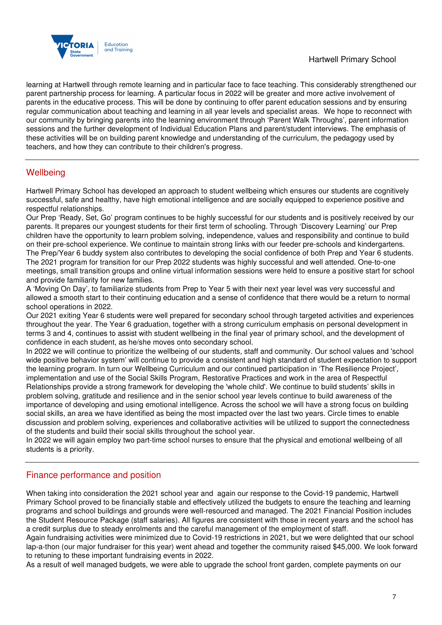

learning at Hartwell through remote learning and in particular face to face teaching. This considerably strengthened our parent partnership process for learning. A particular focus in 2022 will be greater and more active involvement of parents in the educative process. This will be done by continuing to offer parent education sessions and by ensuring regular communication about teaching and learning in all year levels and specialist areas. We hope to reconnect with our community by bringing parents into the learning environment through 'Parent Walk Throughs', parent information sessions and the further development of Individual Education Plans and parent/student interviews. The emphasis of these activities will be on building parent knowledge and understanding of the curriculum, the pedagogy used by teachers, and how they can contribute to their children's progress.

# **Wellbeing**

Hartwell Primary School has developed an approach to student wellbeing which ensures our students are cognitively successful, safe and healthy, have high emotional intelligence and are socially equipped to experience positive and respectful relationships.

Our Prep 'Ready, Set, Go' program continues to be highly successful for our students and is positively received by our parents. It prepares our youngest students for their first term of schooling. Through 'Discovery Learning' our Prep children have the opportunity to learn problem solving, independence, values and responsibility and continue to build on their pre-school experience. We continue to maintain strong links with our feeder pre-schools and kindergartens. The Prep/Year 6 buddy system also contributes to developing the social confidence of both Prep and Year 6 students. The 2021 program for transition for our Prep 2022 students was highly successful and well attended. One-to-one meetings, small transition groups and online virtual information sessions were held to ensure a positive start for school and provide familiarity for new families.

A 'Moving On Day', to familiarize students from Prep to Year 5 with their next year level was very successful and allowed a smooth start to their continuing education and a sense of confidence that there would be a return to normal school operations in 2022.

Our 2021 exiting Year 6 students were well prepared for secondary school through targeted activities and experiences throughout the year. The Year 6 graduation, together with a strong curriculum emphasis on personal development in terms 3 and 4, continues to assist with student wellbeing in the final year of primary school, and the development of confidence in each student, as he/she moves onto secondary school.

In 2022 we will continue to prioritize the wellbeing of our students, staff and community. Our school values and 'school wide positive behavior system' will continue to provide a consistent and high standard of student expectation to support the learning program. In turn our Wellbeing Curriculum and our continued participation in 'The Resilience Project', implementation and use of the Social Skills Program, Restorative Practices and work in the area of Respectful Relationships provide a strong framework for developing the 'whole child'. We continue to build students' skills in problem solving, gratitude and resilience and in the senior school year levels continue to build awareness of the importance of developing and using emotional intelligence. Across the school we will have a strong focus on building social skills, an area we have identified as being the most impacted over the last two years. Circle times to enable discussion and problem solving, experiences and collaborative activities will be utilized to support the connectedness of the students and build their social skills throughout the school year.

In 2022 we will again employ two part-time school nurses to ensure that the physical and emotional wellbeing of all students is a priority.

# Finance performance and position

When taking into consideration the 2021 school year and again our response to the Covid-19 pandemic, Hartwell Primary School proved to be financially stable and effectively utilized the budgets to ensure the teaching and learning programs and school buildings and grounds were well-resourced and managed. The 2021 Financial Position includes the Student Resource Package (staff salaries). All figures are consistent with those in recent years and the school has a credit surplus due to steady enrolments and the careful management of the employment of staff.

Again fundraising activities were minimized due to Covid-19 restrictions in 2021, but we were delighted that our school lap-a-thon (our major fundraiser for this year) went ahead and together the community raised \$45,000. We look forward to retuning to these important fundraising events in 2022.

As a result of well managed budgets, we were able to upgrade the school front garden, complete payments on our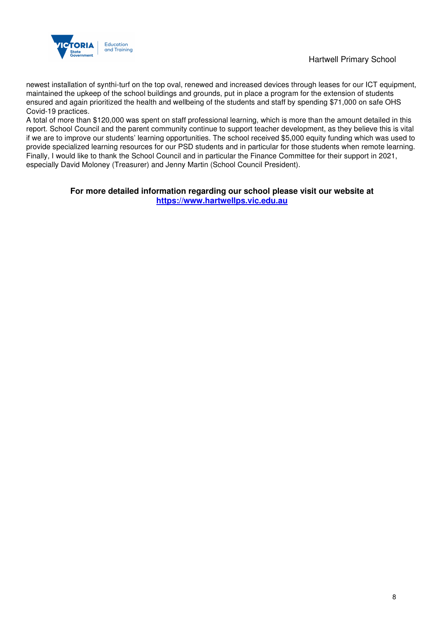

newest installation of synthi-turf on the top oval, renewed and increased devices through leases for our ICT equipment, maintained the upkeep of the school buildings and grounds, put in place a program for the extension of students ensured and again prioritized the health and wellbeing of the students and staff by spending \$71,000 on safe OHS Covid-19 practices.

A total of more than \$120,000 was spent on staff professional learning, which is more than the amount detailed in this report. School Council and the parent community continue to support teacher development, as they believe this is vital if we are to improve our students' learning opportunities. The school received \$5,000 equity funding which was used to provide specialized learning resources for our PSD students and in particular for those students when remote learning. Finally, I would like to thank the School Council and in particular the Finance Committee for their support in 2021, especially David Moloney (Treasurer) and Jenny Martin (School Council President).

### **For more detailed information regarding our school please visit our website at https://www.hartwellps.vic.edu.au**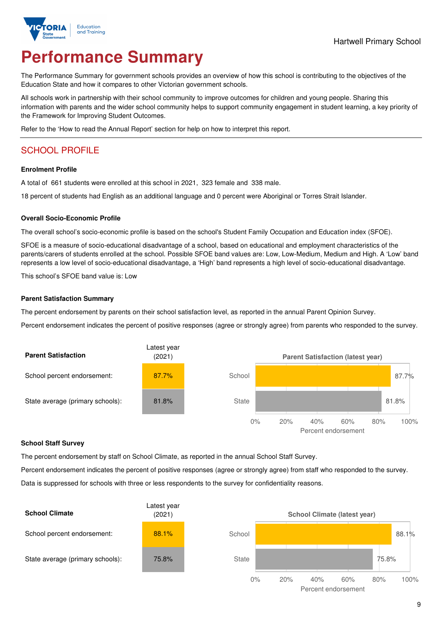

# **Performance Summary**

The Performance Summary for government schools provides an overview of how this school is contributing to the objectives of the Education State and how it compares to other Victorian government schools.

All schools work in partnership with their school community to improve outcomes for children and young people. Sharing this information with parents and the wider school community helps to support community engagement in student learning, a key priority of the Framework for Improving Student Outcomes.

Refer to the 'How to read the Annual Report' section for help on how to interpret this report.

# SCHOOL PROFILE

#### **Enrolment Profile**

A total of 661 students were enrolled at this school in 2021, 323 female and 338 male.

18 percent of students had English as an additional language and 0 percent were Aboriginal or Torres Strait Islander.

#### **Overall Socio-Economic Profile**

The overall school's socio-economic profile is based on the school's Student Family Occupation and Education index (SFOE).

SFOE is a measure of socio-educational disadvantage of a school, based on educational and employment characteristics of the parents/carers of students enrolled at the school. Possible SFOE band values are: Low, Low-Medium, Medium and High. A 'Low' band represents a low level of socio-educational disadvantage, a 'High' band represents a high level of socio-educational disadvantage.

This school's SFOE band value is: Low

#### **Parent Satisfaction Summary**

The percent endorsement by parents on their school satisfaction level, as reported in the annual Parent Opinion Survey.

Percent endorsement indicates the percent of positive responses (agree or strongly agree) from parents who responded to the survey.



#### **School Staff Survey**

The percent endorsement by staff on School Climate, as reported in the annual School Staff Survey.

Percent endorsement indicates the percent of positive responses (agree or strongly agree) from staff who responded to the survey. Data is suppressed for schools with three or less respondents to the survey for confidentiality reasons.

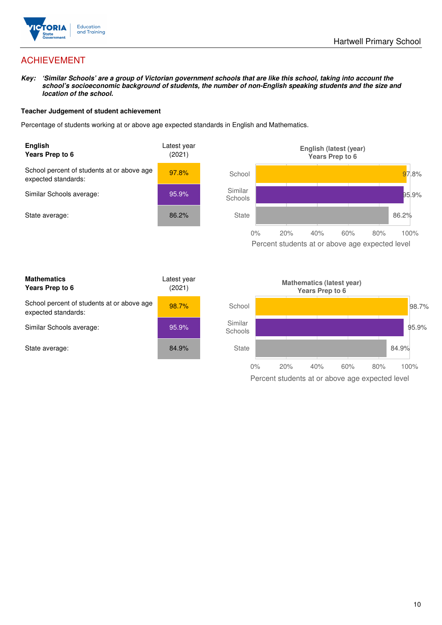

# ACHIEVEMENT

**Key: 'Similar Schools' are a group of Victorian government schools that are like this school, taking into account the school's socioeconomic background of students, the number of non-English speaking students and the size and location of the school.** 

#### **Teacher Judgement of student achievement**

Percentage of students working at or above age expected standards in English and Mathematics.



Percent students at or above age expected level

| <b>Mathematics</b><br>Years Prep to 6                             | Latest year<br>(2021) |
|-------------------------------------------------------------------|-----------------------|
| School percent of students at or above age<br>expected standards: | 98.7%                 |
| Similar Schools average:                                          | 95.9%                 |
| State average:                                                    | 84.9%                 |

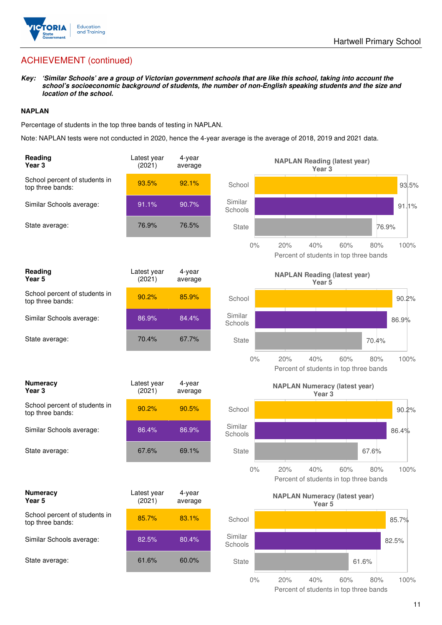

# ACHIEVEMENT (continued)

**Key: 'Similar Schools' are a group of Victorian government schools that are like this school, taking into account the school's socioeconomic background of students, the number of non-English speaking students and the size and location of the school.** 

#### **NAPLAN**

Percentage of students in the top three bands of testing in NAPLAN.

Note: NAPLAN tests were not conducted in 2020, hence the 4-year average is the average of 2018, 2019 and 2021 data.

| Reading<br>Year <sub>3</sub>                      | Latest year<br>(2021) | 4-year<br>average |                    | <b>NAPLAN Reading (latest year)</b><br>Year <sub>3</sub>                   |
|---------------------------------------------------|-----------------------|-------------------|--------------------|----------------------------------------------------------------------------|
| School percent of students in<br>top three bands: | 93.5%                 | 92.1%             | School             | 93.5%                                                                      |
| Similar Schools average:                          | 91.1%                 | 90.7%             | Similar<br>Schools | 91.1%                                                                      |
| State average:                                    | 76.9%                 | 76.5%             | <b>State</b>       | 76.9%                                                                      |
|                                                   |                       |                   | $0\%$              | 40%<br>60%<br>100%<br>20%<br>80%<br>Percent of students in top three bands |
| Reading<br>Year 5                                 | Latest year<br>(2021) | 4-year<br>average |                    | <b>NAPLAN Reading (latest year)</b><br>Year 5                              |
| School percent of students in<br>top three bands: | 90.2%                 | 85.9%             | School             | 90.2%                                                                      |
| Similar Schools average:                          | 86.9%                 | 84.4%             | Similar<br>Schools | 86.9%                                                                      |
| State average:                                    | 70.4%                 | 67.7%             | <b>State</b>       | 70.4%                                                                      |
|                                                   |                       |                   | $0\%$              | 100%<br>20%<br>40%<br>60%<br>80%<br>Percent of students in top three bands |
| <b>Numeracy</b><br>Year <sub>3</sub>              | Latest year<br>(2021) | 4-year<br>average |                    | <b>NAPLAN Numeracy (latest year)</b><br>Year <sub>3</sub>                  |
| School percent of students in<br>top three bands: | 90.2%                 | 90.5%             | School             | 90.2%                                                                      |
| Similar Schools average:                          | 86.4%                 | 86.9%             | Similar<br>Schools | 86.4%                                                                      |
| State average:                                    | 67.6%                 | 69.1%             | <b>State</b>       | 67.6%                                                                      |
|                                                   |                       |                   | $0\%$              | 100%<br>20%<br>40%<br>60%<br>80%<br>Percent of students in top three bands |
| <b>Numeracy</b><br>Year 5                         | Latest year<br>(2021) | 4-year<br>average |                    | <b>NAPLAN Numeracy (latest year)</b><br>Year <sub>5</sub>                  |
| School percent of students in<br>top three bands: | 85.7%                 | 83.1%             | School             | 85.7%                                                                      |
| Similar Schools average:                          | 82.5%                 | 80.4%             | Similar<br>Schools | 82.5%                                                                      |
| State average:                                    | 61.6%                 | 60.0%             | <b>State</b>       | 61.6%                                                                      |
|                                                   |                       |                   | $0\%$              | 20%<br>40%<br>60%<br>80%<br>100%                                           |

Percent of students in top three bands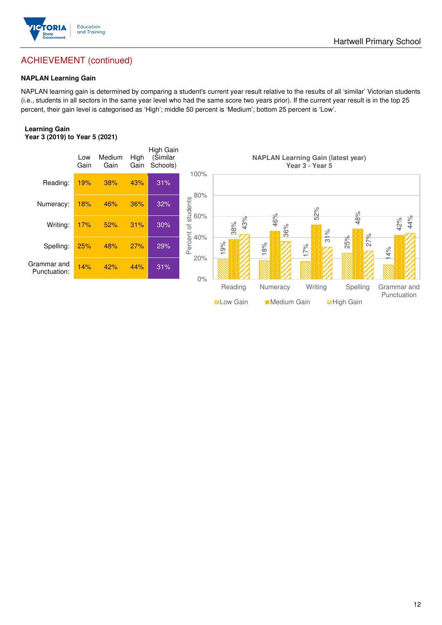

## Hartwell Primary School

# ACHIEVEMENT (continued)

### **NAPLAN Learning Gain**

NAPLAN learning gain is determined by comparing a student's current year result relative to the results of all 'similar' Victorian students (i.e., students in all sectors in the same year level who had the same score two years prior). If the current year result is in the top 25 percent, their gain level is categorised as 'High'; middle 50 percent is 'Medium'; bottom 25 percent is 'Low'.

#### **Learning Gain Year 3 (2019) to Year 5 (2021)**



**BLow Gain** Medium Gain **High Gain**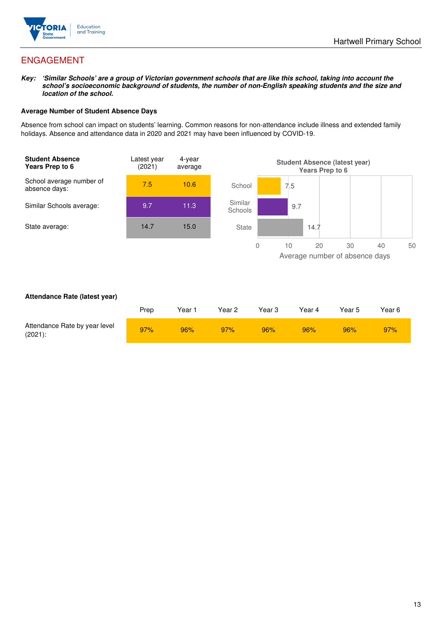

# ENGAGEMENT

**Key: 'Similar Schools' are a group of Victorian government schools that are like this school, taking into account the school's socioeconomic background of students, the number of non-English speaking students and the size and location of the school.** 

#### **Average Number of Student Absence Days**

Absence from school can impact on students' learning. Common reasons for non-attendance include illness and extended family holidays. Absence and attendance data in 2020 and 2021 may have been influenced by COVID-19.



#### **Attendance Rate (latest year)**

|                                             | Prep | Year <sup>+</sup> | Year 2 | Year 3 | Year 4 | Year 5 | Year 6 |
|---------------------------------------------|------|-------------------|--------|--------|--------|--------|--------|
| Attendance Rate by year level<br>$(2021)$ : | 97%  | 96%               | 97%    | 96%    | 96%    | 96%    | 97%    |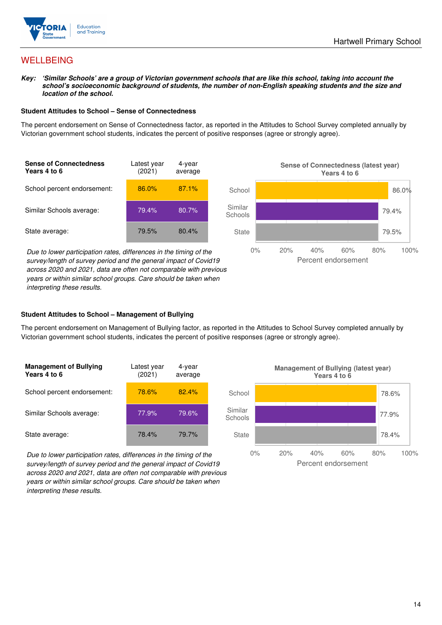

# **WELLBEING**

**Key: 'Similar Schools' are a group of Victorian government schools that are like this school, taking into account the school's socioeconomic background of students, the number of non-English speaking students and the size and location of the school.** 

#### **Student Attitudes to School – Sense of Connectedness**

The percent endorsement on Sense of Connectedness factor, as reported in the Attitudes to School Survey completed annually by Victorian government school students, indicates the percent of positive responses (agree or strongly agree).



Due to lower participation rates, differences in the timing of the survey/length of survey period and the general impact of Covid19 across 2020 and 2021, data are often not comparable with previous years or within similar school groups. Care should be taken when interpreting these results.



#### **Student Attitudes to School – Management of Bullying**

The percent endorsement on Management of Bullying factor, as reported in the Attitudes to School Survey completed annually by Victorian government school students, indicates the percent of positive responses (agree or strongly agree).

| <b>Management of Bullying</b><br>Years 4 to 6 | Latest year<br>(2021) | 4-year<br>average |  |
|-----------------------------------------------|-----------------------|-------------------|--|
| School percent endorsement:                   | <b>78.6%</b>          | 82.4%             |  |
| Similar Schools average:                      | 77.9%                 | 79.6%             |  |
| State average:                                | 78.4%                 | 79.7%             |  |

Due to lower participation rates, differences in the timing of the survey/length of survey period and the general impact of Covid19 across 2020 and 2021, data are often not comparable with previous years or within similar school groups. Care should be taken when interpreting these results.

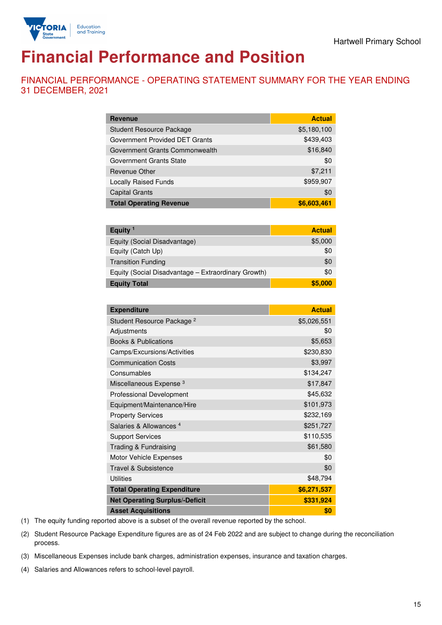

# **Financial Performance and Position**

FINANCIAL PERFORMANCE - OPERATING STATEMENT SUMMARY FOR THE YEAR ENDING 31 DECEMBER, 2021

| <b>Revenue</b>                  | <b>Actual</b> |
|---------------------------------|---------------|
| <b>Student Resource Package</b> | \$5,180,100   |
| Government Provided DET Grants  | \$439,403     |
| Government Grants Commonwealth  | \$16,840      |
| Government Grants State         | \$0           |
| Revenue Other                   | \$7,211       |
| <b>Locally Raised Funds</b>     | \$959,907     |
| <b>Capital Grants</b>           | \$0           |
| <b>Total Operating Revenue</b>  | \$6,603,461   |

| Equity $1$                                          | <b>Actual</b> |
|-----------------------------------------------------|---------------|
| Equity (Social Disadvantage)                        | \$5,000       |
| Equity (Catch Up)                                   | \$0           |
| <b>Transition Funding</b>                           | \$0           |
| Equity (Social Disadvantage – Extraordinary Growth) | \$0           |
| <b>Equity Total</b>                                 | \$5,000       |

| <b>Expenditure</b>                    | <b>Actual</b> |
|---------------------------------------|---------------|
| Student Resource Package <sup>2</sup> | \$5,026,551   |
| Adjustments                           | \$0           |
| <b>Books &amp; Publications</b>       | \$5,653       |
| Camps/Excursions/Activities           | \$230,830     |
| <b>Communication Costs</b>            | \$3,997       |
| Consumables                           | \$134,247     |
| Miscellaneous Expense <sup>3</sup>    | \$17,847      |
| Professional Development              | \$45,632      |
| Equipment/Maintenance/Hire            | \$101,973     |
| <b>Property Services</b>              | \$232,169     |
| Salaries & Allowances <sup>4</sup>    | \$251,727     |
| <b>Support Services</b>               | \$110,535     |
| Trading & Fundraising                 | \$61,580      |
| Motor Vehicle Expenses                | \$0           |
| <b>Travel &amp; Subsistence</b>       | \$0           |
| <b>Utilities</b>                      | \$48,794      |
| <b>Total Operating Expenditure</b>    | \$6,271,537   |
| <b>Net Operating Surplus/-Deficit</b> | \$331,924     |
| <b>Asset Acquisitions</b>             | \$0           |

(1) The equity funding reported above is a subset of the overall revenue reported by the school.

(2) Student Resource Package Expenditure figures are as of 24 Feb 2022 and are subject to change during the reconciliation process.

(3) Miscellaneous Expenses include bank charges, administration expenses, insurance and taxation charges.

(4) Salaries and Allowances refers to school-level payroll.